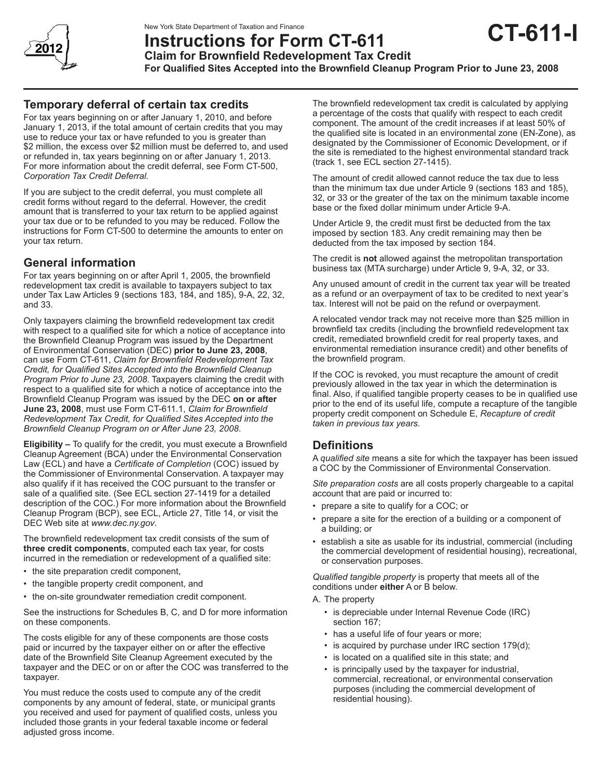

# **Instructions for Form CT-611 Claim for Brownfield Redevelopment Tax Credit**

**For Qualified Sites Accepted into the Brownfield Cleanup Program Prior to June 23, 2008**

# **Temporary deferral of certain tax credits**

For tax years beginning on or after January 1, 2010, and before January 1, 2013, if the total amount of certain credits that you may use to reduce your tax or have refunded to you is greater than \$2 million, the excess over \$2 million must be deferred to, and used or refunded in, tax years beginning on or after January 1, 2013. For more information about the credit deferral, see Form CT-500, *Corporation Tax Credit Deferral.*

If you are subject to the credit deferral, you must complete all credit forms without regard to the deferral. However, the credit amount that is transferred to your tax return to be applied against your tax due or to be refunded to you may be reduced. Follow the instructions for Form CT-500 to determine the amounts to enter on your tax return.

# **General information**

For tax years beginning on or after April 1, 2005, the brownfield redevelopment tax credit is available to taxpayers subject to tax under Tax Law Articles 9 (sections 183, 184, and 185), 9-A, 22, 32, and 33.

Only taxpayers claiming the brownfield redevelopment tax credit with respect to a qualified site for which a notice of acceptance into the Brownfield Cleanup Program was issued by the Department of Environmental Conservation (DEC) **prior to June 23, 2008**, can use Form CT-611, *Claim for Brownfield Redevelopment Tax Credit, for Qualified Sites Accepted into the Brownfield Cleanup Program Prior to June 23, 2008*. Taxpayers claiming the credit with respect to a qualified site for which a notice of acceptance into the Brownfield Cleanup Program was issued by the DEC **on or after June 23, 2008**, must use Form CT-611.1, *Claim for Brownfield Redevelopment Tax Credit, for Qualified Sites Accepted into the Brownfield Cleanup Program on or After June 23, 2008*.

**Eligibility –** To qualify for the credit, you must execute a Brownfield Cleanup Agreement (BCA) under the Environmental Conservation Law (ECL) and have a *Certificate of Completion* (COC) issued by the Commissioner of Environmental Conservation. A taxpayer may also qualify if it has received the COC pursuant to the transfer or sale of a qualified site. (See ECL section 27-1419 for a detailed description of the COC.) For more information about the Brownfield Cleanup Program (BCP), see ECL, Article 27, Title 14, or visit the DEC Web site at *www.dec.ny.gov*.

The brownfield redevelopment tax credit consists of the sum of **three credit components**, computed each tax year, for costs incurred in the remediation or redevelopment of a qualified site:

- the site preparation credit component,
- the tangible property credit component, and
- the on-site groundwater remediation credit component.

See the instructions for Schedules B, C, and D for more information on these components.

The costs eligible for any of these components are those costs paid or incurred by the taxpayer either on or after the effective date of the Brownfield Site Cleanup Agreement executed by the taxpayer and the DEC or on or after the COC was transferred to the taxpayer.

You must reduce the costs used to compute any of the credit components by any amount of federal, state, or municipal grants you received and used for payment of qualified costs, unless you included those grants in your federal taxable income or federal adjusted gross income.

The brownfield redevelopment tax credit is calculated by applying a percentage of the costs that qualify with respect to each credit component. The amount of the credit increases if at least 50% of the qualified site is located in an environmental zone (EN-Zone), as designated by the Commissioner of Economic Development, or if the site is remediated to the highest environmental standard track (track 1, see ECL section 27-1415).

**CT-611-I**

The amount of credit allowed cannot reduce the tax due to less than the minimum tax due under Article 9 (sections 183 and 185), 32, or 33 or the greater of the tax on the minimum taxable income base or the fixed dollar minimum under Article 9-A.

Under Article 9, the credit must first be deducted from the tax imposed by section 183. Any credit remaining may then be deducted from the tax imposed by section 184.

The credit is **not** allowed against the metropolitan transportation business tax (MTA surcharge) under Article 9, 9-A, 32, or 33.

Any unused amount of credit in the current tax year will be treated as a refund or an overpayment of tax to be credited to next year's tax. Interest will not be paid on the refund or overpayment.

A relocated vendor track may not receive more than \$25 million in brownfield tax credits (including the brownfield redevelopment tax credit, remediated brownfield credit for real property taxes, and environmental remediation insurance credit) and other benefits of the brownfield program.

If the COC is revoked, you must recapture the amount of credit previously allowed in the tax year in which the determination is final. Also, if qualified tangible property ceases to be in qualified use prior to the end of its useful life, compute a recapture of the tangible property credit component on Schedule E, *Recapture of credit taken in previous tax years.*

# **Definitions**

A *qualified site* means a site for which the taxpayer has been issued a COC by the Commissioner of Environmental Conservation.

*Site preparation costs* are all costs properly chargeable to a capital account that are paid or incurred to:

- prepare a site to qualify for a COC; or
- prepare a site for the erection of a building or a component of a building; or
- establish a site as usable for its industrial, commercial (including the commercial development of residential housing), recreational, or conservation purposes.

*Qualified tangible property* is property that meets all of the conditions under **either** A or B below.

- A. The property
	- is depreciable under Internal Revenue Code (IRC) section 167;
	- has a useful life of four years or more;
	- is acquired by purchase under IRC section 179(d);
	- is located on a qualified site in this state; and
	- is principally used by the taxpayer for industrial, commercial, recreational, or environmental conservation purposes (including the commercial development of residential housing).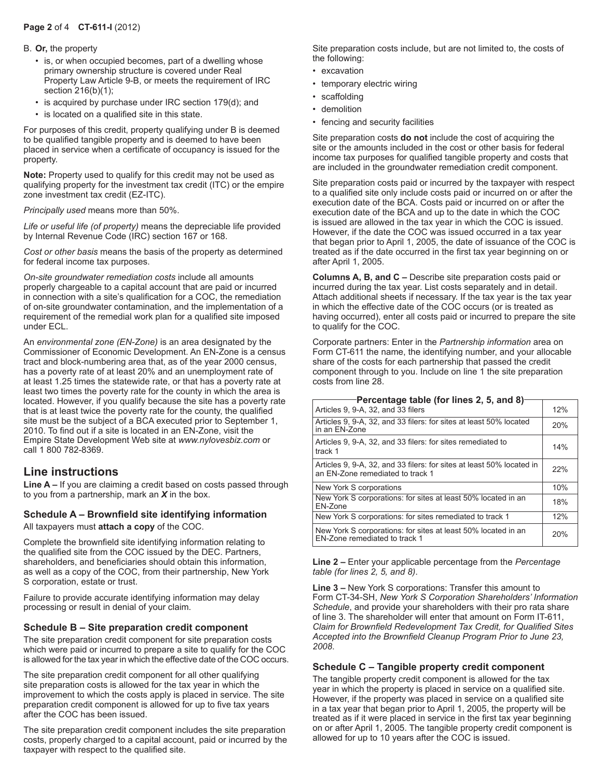### **Page 2** of 4 **CT-611-I** (2012)

#### B. **Or,** the property

- is, or when occupied becomes, part of a dwelling whose primary ownership structure is covered under Real Property Law Article 9-B, or meets the requirement of IRC section 216(b)(1);
- is acquired by purchase under IRC section 179(d); and
- is located on a qualified site in this state.

For purposes of this credit, property qualifying under B is deemed to be qualified tangible property and is deemed to have been placed in service when a certificate of occupancy is issued for the property.

**Note:** Property used to qualify for this credit may not be used as qualifying property for the investment tax credit (ITC) or the empire zone investment tax credit (EZ-ITC).

*Principally used* means more than 50%.

*Life or useful life (of property)* means the depreciable life provided by Internal Revenue Code (IRC) section 167 or 168.

*Cost or other basis* means the basis of the property as determined for federal income tax purposes.

*On-site groundwater remediation costs* include all amounts properly chargeable to a capital account that are paid or incurred in connection with a site's qualification for a COC, the remediation of on-site groundwater contamination, and the implementation of a requirement of the remedial work plan for a qualified site imposed under ECL.

An *environmental zone (EN-Zone)* is an area designated by the Commissioner of Economic Development. An EN-Zone is a census tract and block-numbering area that, as of the year 2000 census, has a poverty rate of at least 20% and an unemployment rate of at least 1.25 times the statewide rate, or that has a poverty rate at least two times the poverty rate for the county in which the area is located. However, if you qualify because the site has a poverty rate that is at least twice the poverty rate for the county, the qualified site must be the subject of a BCA executed prior to September 1, 2010. To find out if a site is located in an EN-Zone, visit the Empire State Development Web site at *www.nylovesbiz.com* or call 1 800 782-8369.

### **Line instructions**

**Line A –** If you are claiming a credit based on costs passed through to you from a partnership, mark an *X* in the box.

### **Schedule A – Brownfield site identifying information**

All taxpayers must **attach a copy** of the COC.

Complete the brownfield site identifying information relating to the qualified site from the COC issued by the DEC. Partners, shareholders, and beneficiaries should obtain this information, as well as a copy of the COC, from their partnership, New York S corporation, estate or trust.

Failure to provide accurate identifying information may delay processing or result in denial of your claim.

### **Schedule B – Site preparation credit component**

The site preparation credit component for site preparation costs which were paid or incurred to prepare a site to qualify for the COC is allowed for the tax year in which the effective date of the COC occurs.

The site preparation credit component for all other qualifying site preparation costs is allowed for the tax year in which the improvement to which the costs apply is placed in service. The site preparation credit component is allowed for up to five tax years after the COC has been issued.

The site preparation credit component includes the site preparation costs, properly charged to a capital account, paid or incurred by the taxpayer with respect to the qualified site.

Site preparation costs include, but are not limited to, the costs of the following:

- excavation
- temporary electric wiring
- scaffolding
- demolition
- fencing and security facilities

Site preparation costs **do not** include the cost of acquiring the site or the amounts included in the cost or other basis for federal income tax purposes for qualified tangible property and costs that are included in the groundwater remediation credit component.

Site preparation costs paid or incurred by the taxpayer with respect to a qualified site only include costs paid or incurred on or after the execution date of the BCA. Costs paid or incurred on or after the execution date of the BCA and up to the date in which the COC is issued are allowed in the tax year in which the COC is issued. However, if the date the COC was issued occurred in a tax year that began prior to April 1, 2005, the date of issuance of the COC is treated as if the date occurred in the first tax year beginning on or after April 1, 2005.

**Columns A, B, and C –** Describe site preparation costs paid or incurred during the tax year. List costs separately and in detail. Attach additional sheets if necessary. If the tax year is the tax year in which the effective date of the COC occurs (or is treated as having occurred), enter all costs paid or incurred to prepare the site to qualify for the COC.

Corporate partners: Enter in the *Partnership information* area on Form CT-611 the name, the identifying number, and your allocable share of the costs for each partnership that passed the credit component through to you. Include on line 1 the site preparation costs from line 28.

#### **Percentage table (for lines 2, 5, and 8)**

| Articles 9, 9-A, 32, and 33 filers                                                                        | 12% |
|-----------------------------------------------------------------------------------------------------------|-----|
| Articles 9, 9-A, 32, and 33 filers: for sites at least 50% located<br>in an EN-Zone                       | 20% |
| Articles 9, 9-A, 32, and 33 filers: for sites remediated to<br>track 1                                    | 14% |
| Articles 9, 9-A, 32, and 33 filers: for sites at least 50% located in<br>an EN-Zone remediated to track 1 | 22% |
| New York S corporations                                                                                   | 10% |
| New York S corporations: for sites at least 50% located in an<br>EN-Zone                                  | 18% |
| New York S corporations: for sites remediated to track 1                                                  | 12% |
| New York S corporations: for sites at least 50% located in an<br>EN-Zone remediated to track 1            | 20% |

**Line 2 –** Enter your applicable percentage from the *Percentage table (for lines 2, 5, and 8)*.

**Line 3 –** New York S corporations: Transfer this amount to Form CT-34-SH, *New York S Corporation Shareholders' Information Schedule*, and provide your shareholders with their pro rata share of line 3. The shareholder will enter that amount on Form IT-611, *Claim for Brownfield Redevelopment Tax Credit, for Qualified Sites Accepted into the Brownfield Cleanup Program Prior to June 23, 2008*.

#### **Schedule C – Tangible property credit component**

The tangible property credit component is allowed for the tax year in which the property is placed in service on a qualified site. However, if the property was placed in service on a qualified site in a tax year that began prior to April 1, 2005, the property will be treated as if it were placed in service in the first tax year beginning on or after April 1, 2005. The tangible property credit component is allowed for up to 10 years after the COC is issued.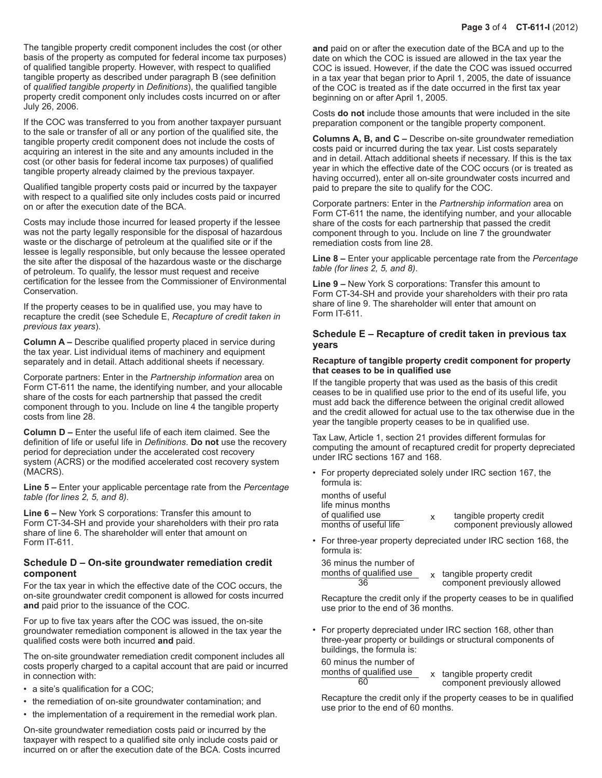The tangible property credit component includes the cost (or other basis of the property as computed for federal income tax purposes) of qualified tangible property. However, with respect to qualified tangible property as described under paragraph B (see definition of *qualified tangible property* in *Definitions*), the qualified tangible property credit component only includes costs incurred on or after July 26, 2006.

If the COC was transferred to you from another taxpayer pursuant to the sale or transfer of all or any portion of the qualified site, the tangible property credit component does not include the costs of acquiring an interest in the site and any amounts included in the cost (or other basis for federal income tax purposes) of qualified tangible property already claimed by the previous taxpayer.

Qualified tangible property costs paid or incurred by the taxpayer with respect to a qualified site only includes costs paid or incurred on or after the execution date of the BCA.

Costs may include those incurred for leased property if the lessee was not the party legally responsible for the disposal of hazardous waste or the discharge of petroleum at the qualified site or if the lessee is legally responsible, but only because the lessee operated the site after the disposal of the hazardous waste or the discharge of petroleum. To qualify, the lessor must request and receive certification for the lessee from the Commissioner of Environmental Conservation.

If the property ceases to be in qualified use, you may have to recapture the credit (see Schedule E, *Recapture of credit taken in previous tax years*).

**Column A –** Describe qualified property placed in service during the tax year. List individual items of machinery and equipment separately and in detail. Attach additional sheets if necessary.

Corporate partners: Enter in the *Partnership information* area on Form CT-611 the name, the identifying number, and your allocable share of the costs for each partnership that passed the credit component through to you. Include on line 4 the tangible property costs from line 28.

**Column D –** Enter the useful life of each item claimed. See the definition of life or useful life in *Definitions*. **Do not** use the recovery period for depreciation under the accelerated cost recovery system (ACRS) or the modified accelerated cost recovery system (MACRS).

**Line 5 –** Enter your applicable percentage rate from the *Percentage table (for lines 2, 5, and 8)*.

**Line 6 –** New York S corporations: Transfer this amount to Form CT-34-SH and provide your shareholders with their pro rata share of line 6. The shareholder will enter that amount on Form IT-611.

#### **Schedule D – On-site groundwater remediation credit component**

For the tax year in which the effective date of the COC occurs, the on-site groundwater credit component is allowed for costs incurred **and** paid prior to the issuance of the COC.

For up to five tax years after the COC was issued, the on-site groundwater remediation component is allowed in the tax year the qualified costs were both incurred **and** paid.

The on-site groundwater remediation credit component includes all costs properly charged to a capital account that are paid or incurred in connection with:

- a site's qualification for a COC;
- the remediation of on-site groundwater contamination; and
- the implementation of a requirement in the remedial work plan.

On-site groundwater remediation costs paid or incurred by the taxpayer with respect to a qualified site only include costs paid or incurred on or after the execution date of the BCA. Costs incurred

**and** paid on or after the execution date of the BCA and up to the date on which the COC is issued are allowed in the tax year the COC is issued. However, if the date the COC was issued occurred in a tax year that began prior to April 1, 2005, the date of issuance of the COC is treated as if the date occurred in the first tax year beginning on or after April 1, 2005.

Costs **do not** include those amounts that were included in the site preparation component or the tangible property component.

**Columns A, B, and C –** Describe on-site groundwater remediation costs paid or incurred during the tax year. List costs separately and in detail. Attach additional sheets if necessary. If this is the tax year in which the effective date of the COC occurs (or is treated as having occurred), enter all on-site groundwater costs incurred and paid to prepare the site to qualify for the COC.

Corporate partners: Enter in the *Partnership information* area on Form CT-611 the name, the identifying number, and your allocable share of the costs for each partnership that passed the credit component through to you. Include on line 7 the groundwater remediation costs from line 28.

**Line 8 –** Enter your applicable percentage rate from the *Percentage table (for lines 2, 5, and 8)*.

**Line 9 –** New York S corporations: Transfer this amount to Form CT-34-SH and provide your shareholders with their pro rata share of line 9. The shareholder will enter that amount on Form IT-611.

### **Schedule E – Recapture of credit taken in previous tax years**

### **Recapture of tangible property credit component for property that ceases to be in qualified use**

If the tangible property that was used as the basis of this credit ceases to be in qualified use prior to the end of its useful life, you must add back the difference between the original credit allowed and the credit allowed for actual use to the tax otherwise due in the year the tangible property ceases to be in qualified use.

Tax Law, Article 1, section 21 provides different formulas for computing the amount of recaptured credit for property depreciated under IRC sections 167 and 168.

• For property depreciated solely under IRC section 167, the formula is:

months of useful life minus months

- of qualified use <br>
months of useful life <br>  $\begin{array}{ccc}\nx & \text{tangle property credit} \\
\text{components of useful life} & \text{component previously a}\n\end{array}$ component previously allowed
- For three-year property depreciated under IRC section 168, the formula is:

36 minus the number of<br>months of qualified use

 $\frac{f \text{ qualified use}}{36}$  x tangible property credit<br>36 component previously a component previously allowed

Recapture the credit only if the property ceases to be in qualified use prior to the end of 36 months.

• For property depreciated under IRC section 168, other than three-year property or buildings or structural components of buildings, the formula is:

60 minus the number of

 $\frac{f}{f}$  qualified use  $\frac{f}{f}$  x tangible property credit component previously allowed

Recapture the credit only if the property ceases to be in qualified use prior to the end of 60 months.